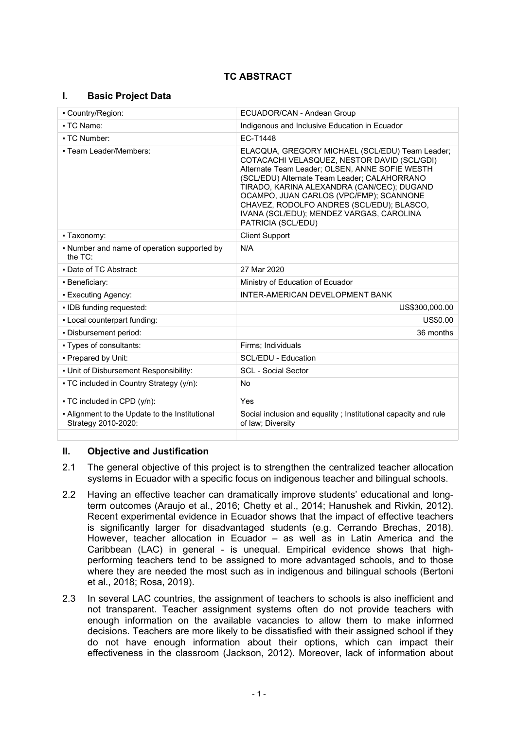# **TC ABSTRACT**

## **I. Basic Project Data**

| - Country/Region:                                                     | ECUADOR/CAN - Andean Group                                                                                                                                                                                                                                                                                                                                                                               |  |
|-----------------------------------------------------------------------|----------------------------------------------------------------------------------------------------------------------------------------------------------------------------------------------------------------------------------------------------------------------------------------------------------------------------------------------------------------------------------------------------------|--|
| • TC Name:                                                            | Indigenous and Inclusive Education in Ecuador                                                                                                                                                                                                                                                                                                                                                            |  |
| - TC Number:                                                          | EC-T1448                                                                                                                                                                                                                                                                                                                                                                                                 |  |
| - Team Leader/Members:                                                | ELACQUA, GREGORY MICHAEL (SCL/EDU) Team Leader;<br>COTACACHI VELASQUEZ, NESTOR DAVID (SCL/GDI)<br>Alternate Team Leader; OLSEN, ANNE SOFIE WESTH<br>(SCL/EDU) Alternate Team Leader; CALAHORRANO<br>TIRADO, KARINA ALEXANDRA (CAN/CEC); DUGAND<br>OCAMPO, JUAN CARLOS (VPC/FMP); SCANNONE<br>CHAVEZ, RODOLFO ANDRES (SCL/EDU); BLASCO,<br>IVANA (SCL/EDU); MENDEZ VARGAS, CAROLINA<br>PATRICIA (SCL/EDU) |  |
| • Taxonomy:                                                           | <b>Client Support</b>                                                                                                                                                                                                                                                                                                                                                                                    |  |
| • Number and name of operation supported by<br>the $TC$ :             | N/A                                                                                                                                                                                                                                                                                                                                                                                                      |  |
| • Date of TC Abstract:                                                | 27 Mar 2020                                                                                                                                                                                                                                                                                                                                                                                              |  |
| • Beneficiary:                                                        | Ministry of Education of Ecuador                                                                                                                                                                                                                                                                                                                                                                         |  |
| • Executing Agency:                                                   | INTER-AMERICAN DEVELOPMENT BANK                                                                                                                                                                                                                                                                                                                                                                          |  |
| . IDB funding requested:                                              | US\$300,000.00                                                                                                                                                                                                                                                                                                                                                                                           |  |
| - Local counterpart funding:                                          | US\$0.00                                                                                                                                                                                                                                                                                                                                                                                                 |  |
| - Disbursement period:                                                | 36 months                                                                                                                                                                                                                                                                                                                                                                                                |  |
| - Types of consultants:                                               | Firms; Individuals                                                                                                                                                                                                                                                                                                                                                                                       |  |
| - Prepared by Unit:                                                   | <b>SCL/EDU - Education</b>                                                                                                                                                                                                                                                                                                                                                                               |  |
| - Unit of Disbursement Responsibility:                                | <b>SCL</b> - Social Sector                                                                                                                                                                                                                                                                                                                                                                               |  |
| • TC included in Country Strategy (y/n):                              | No                                                                                                                                                                                                                                                                                                                                                                                                       |  |
| • TC included in CPD (y/n):                                           | Yes                                                                                                                                                                                                                                                                                                                                                                                                      |  |
| - Alignment to the Update to the Institutional<br>Strategy 2010-2020: | Social inclusion and equality ; Institutional capacity and rule<br>of law; Diversity                                                                                                                                                                                                                                                                                                                     |  |
|                                                                       |                                                                                                                                                                                                                                                                                                                                                                                                          |  |

## **II. Objective and Justification**

- 2.1 The general objective of this project is to strengthen the centralized teacher allocation systems in Ecuador with a specific focus on indigenous teacher and bilingual schools.
- 2.2 Having an effective teacher can dramatically improve students' educational and longterm outcomes (Araujo et al., 2016; Chetty et al., 2014; Hanushek and Rivkin, 2012). Recent experimental evidence in Ecuador shows that the impact of effective teachers is significantly larger for disadvantaged students (e.g. Cerrando Brechas, 2018). However, teacher allocation in Ecuador – as well as in Latin America and the Caribbean (LAC) in general - is unequal. Empirical evidence shows that highperforming teachers tend to be assigned to more advantaged schools, and to those where they are needed the most such as in indigenous and bilingual schools (Bertoni et al., 2018; Rosa, 2019).
- 2.3 In several LAC countries, the assignment of teachers to schools is also inefficient and not transparent. Teacher assignment systems often do not provide teachers with enough information on the available vacancies to allow them to make informed decisions. Teachers are more likely to be dissatisfied with their assigned school if they do not have enough information about their options, which can impact their effectiveness in the classroom (Jackson, 2012). Moreover, lack of information about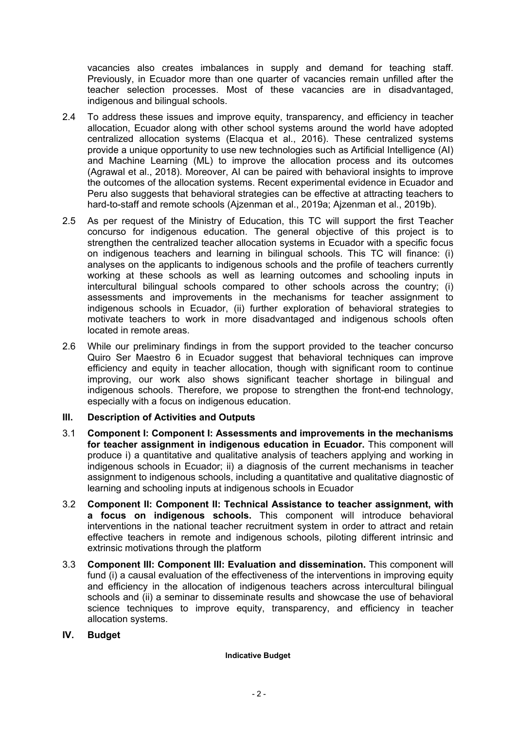vacancies also creates imbalances in supply and demand for teaching staff. Previously, in Ecuador more than one quarter of vacancies remain unfilled after the teacher selection processes. Most of these vacancies are in disadvantaged, indigenous and bilingual schools.

- 2.4 To address these issues and improve equity, transparency, and efficiency in teacher allocation, Ecuador along with other school systems around the world have adopted centralized allocation systems (Elacqua et al., 2016). These centralized systems provide a unique opportunity to use new technologies such as Artificial Intelligence (AI) and Machine Learning (ML) to improve the allocation process and its outcomes (Agrawal et al., 2018). Moreover, AI can be paired with behavioral insights to improve the outcomes of the allocation systems. Recent experimental evidence in Ecuador and Peru also suggests that behavioral strategies can be effective at attracting teachers to hard-to-staff and remote schools (Ajzenman et al., 2019a; Ajzenman et al., 2019b).
- 2.5 As per request of the Ministry of Education, this TC will support the first Teacher concurso for indigenous education. The general objective of this project is to strengthen the centralized teacher allocation systems in Ecuador with a specific focus on indigenous teachers and learning in bilingual schools. This TC will finance: (i) analyses on the applicants to indigenous schools and the profile of teachers currently working at these schools as well as learning outcomes and schooling inputs in intercultural bilingual schools compared to other schools across the country; (i) assessments and improvements in the mechanisms for teacher assignment to indigenous schools in Ecuador, (ii) further exploration of behavioral strategies to motivate teachers to work in more disadvantaged and indigenous schools often located in remote areas.
- 2.6 While our preliminary findings in from the support provided to the teacher concurso Quiro Ser Maestro 6 in Ecuador suggest that behavioral techniques can improve efficiency and equity in teacher allocation, though with significant room to continue improving, our work also shows significant teacher shortage in bilingual and indigenous schools. Therefore, we propose to strengthen the front-end technology, especially with a focus on indigenous education.

## **III. Description of Activities and Outputs**

- 3.1 **Component I: Component I: Assessments and improvements in the mechanisms for teacher assignment in indigenous education in Ecuador.** This component will produce i) a quantitative and qualitative analysis of teachers applying and working in indigenous schools in Ecuador; ii) a diagnosis of the current mechanisms in teacher assignment to indigenous schools, including a quantitative and qualitative diagnostic of learning and schooling inputs at indigenous schools in Ecuador
- 3.2 **Component II: Component II: Technical Assistance to teacher assignment, with a focus on indigenous schools.** This component will introduce behavioral interventions in the national teacher recruitment system in order to attract and retain effective teachers in remote and indigenous schools, piloting different intrinsic and extrinsic motivations through the platform
- 3.3 **Component III: Component III: Evaluation and dissemination.** This component will fund (i) a causal evaluation of the effectiveness of the interventions in improving equity and efficiency in the allocation of indigenous teachers across intercultural bilingual schools and (ii) a seminar to disseminate results and showcase the use of behavioral science techniques to improve equity, transparency, and efficiency in teacher allocation systems.
- **IV. Budget**

#### **Indicative Budget**